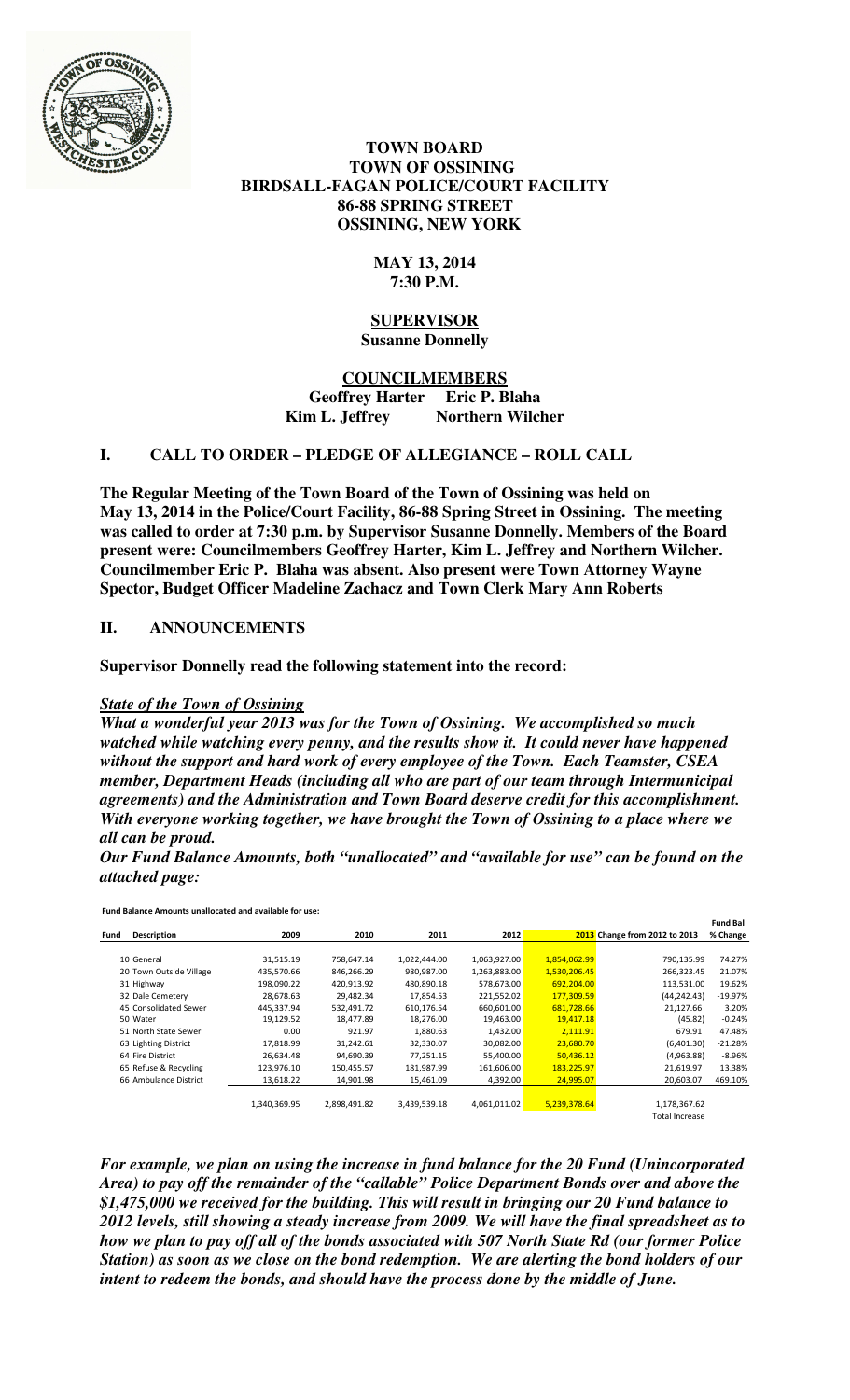

 **TOWN BOARD TOWN OF OSSINING BIRDSALL-FAGAN POLICE/COURT FACILITY 86-88 SPRING STREET OSSINING, NEW YORK** 

# **MAY 13, 2014 7:30 P.M.**

#### **SUPERVISOR Susanne Donnelly**

**COUNCILMEMBERS Geoffrey Harter Eric P. Blaha**  Kim L. Jeffrey Northern Wilcher

# **I. CALL TO ORDER – PLEDGE OF ALLEGIANCE – ROLL CALL**

**The Regular Meeting of the Town Board of the Town of Ossining was held on May 13, 2014 in the Police/Court Facility, 86-88 Spring Street in Ossining. The meeting was called to order at 7:30 p.m. by Supervisor Susanne Donnelly. Members of the Board present were: Councilmembers Geoffrey Harter, Kim L. Jeffrey and Northern Wilcher. Councilmember Eric P. Blaha was absent. Also present were Town Attorney Wayne Spector, Budget Officer Madeline Zachacz and Town Clerk Mary Ann Roberts** 

# **II. ANNOUNCEMENTS**

**Supervisor Donnelly read the following statement into the record:** 

## *State of the Town of Ossining*

*What a wonderful year 2013 was for the Town of Ossining. We accomplished so much watched while watching every penny, and the results show it. It could never have happened without the support and hard work of every employee of the Town. Each Teamster, CSEA member, Department Heads (including all who are part of our team through Intermunicipal agreements) and the Administration and Town Board deserve credit for this accomplishment. With everyone working together, we have brought the Town of Ossining to a place where we all can be proud.* 

*Our Fund Balance Amounts, both "unallocated" and "available for use" can be found on the attached page:* 

Fund Balance Amounts unallocated and available for use:

|      |                         |              |              |              |              |              |                               | <b>Fund Bal</b> |
|------|-------------------------|--------------|--------------|--------------|--------------|--------------|-------------------------------|-----------------|
| Fund | Description             | 2009         | 2010         | 2011         | 2012         |              | 2013 Change from 2012 to 2013 | % Change        |
|      |                         |              |              |              |              |              |                               |                 |
|      | 10 General              | 31,515.19    | 758,647.14   | 1,022,444.00 | 1,063,927.00 | 1,854,062.99 | 790,135.99                    | 74.27%          |
|      | 20 Town Outside Village | 435,570.66   | 846,266.29   | 980,987.00   | 1,263,883.00 | 1,530,206.45 | 266,323.45                    | 21.07%          |
|      | 31 Highway              | 198,090.22   | 420,913.92   | 480,890.18   | 578,673.00   | 692,204.00   | 113,531.00                    | 19.62%          |
|      | 32 Dale Cemetery        | 28,678.63    | 29,482.34    | 17,854.53    | 221,552.02   | 177,309.59   | (44, 242.43)                  | $-19.97%$       |
|      | 45 Consolidated Sewer   | 445,337.94   | 532,491.72   | 610,176.54   | 660,601.00   | 681,728.66   | 21,127.66                     | 3.20%           |
|      | 50 Water                | 19,129.52    | 18,477.89    | 18,276.00    | 19,463.00    | 19,417.18    | (45.82)                       | $-0.24%$        |
|      | 51 North State Sewer    | 0.00         | 921.97       | 1,880.63     | 1,432.00     | 2,111.91     | 679.91                        | 47.48%          |
|      | 63 Lighting District    | 17,818.99    | 31.242.61    | 32,330.07    | 30,082.00    | 23,680.70    | (6,401.30)                    | $-21.28%$       |
|      | 64 Fire District        | 26.634.48    | 94,690.39    | 77,251.15    | 55,400.00    | 50.436.12    | (4,963.88)                    | $-8.96%$        |
|      | 65 Refuse & Recycling   | 123,976.10   | 150,455.57   | 181,987.99   | 161,606.00   | 183,225.97   | 21,619.97                     | 13.38%          |
|      | 66 Ambulance District   | 13,618.22    | 14,901.98    | 15,461.09    | 4,392.00     | 24,995.07    | 20,603.07                     | 469.10%         |
|      |                         |              |              |              |              |              |                               |                 |
|      |                         | 1,340,369.95 | 2,898,491.82 | 3,439,539.18 | 4,061,011.02 | 5,239,378.64 | 1,178,367.62                  |                 |
|      |                         |              |              |              |              |              | Total Increase                |                 |

*For example, we plan on using the increase in fund balance for the 20 Fund (Unincorporated Area) to pay off the remainder of the "callable" Police Department Bonds over and above the \$1,475,000 we received for the building. This will result in bringing our 20 Fund balance to 2012 levels, still showing a steady increase from 2009. We will have the final spreadsheet as to how we plan to pay off all of the bonds associated with 507 North State Rd (our former Police Station) as soon as we close on the bond redemption. We are alerting the bond holders of our intent to redeem the bonds, and should have the process done by the middle of June.*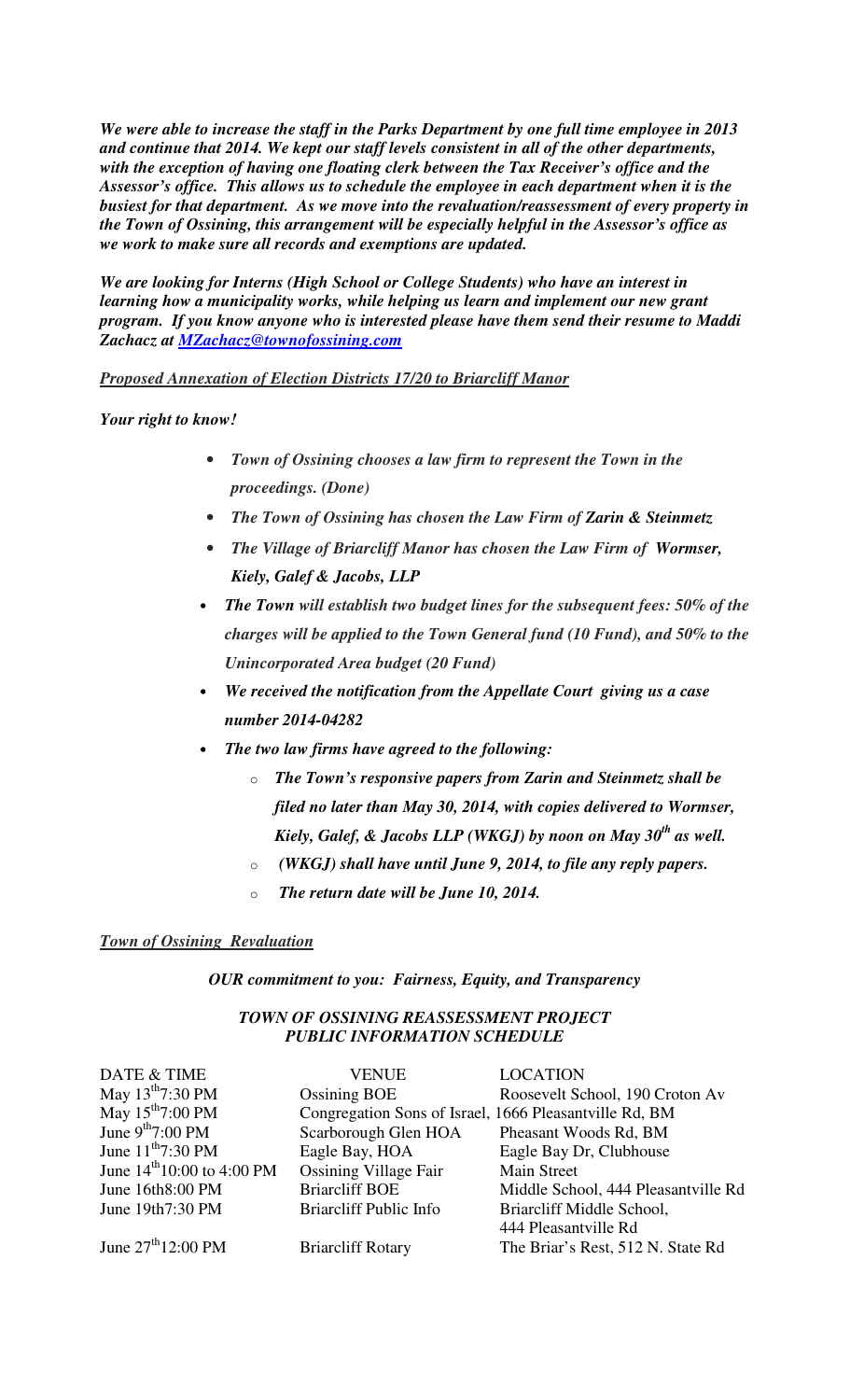*We were able to increase the staff in the Parks Department by one full time employee in 2013 and continue that 2014. We kept our staff levels consistent in all of the other departments, with the exception of having one floating clerk between the Tax Receiver's office and the Assessor's office. This allows us to schedule the employee in each department when it is the busiest for that department. As we move into the revaluation/reassessment of every property in the Town of Ossining, this arrangement will be especially helpful in the Assessor's office as we work to make sure all records and exemptions are updated.* 

*We are looking for Interns (High School or College Students) who have an interest in learning how a municipality works, while helping us learn and implement our new grant program. If you know anyone who is interested please have them send their resume to Maddi Zachacz at MZachacz@townofossining.com* 

*Proposed Annexation of Election Districts 17/20 to Briarcliff Manor*

*Your right to know!* 

- *Town of Ossining chooses a law firm to represent the Town in the proceedings. (Done)*
- *The Town of Ossining has chosen the Law Firm of Zarin & Steinmetz*
- *The Village of Briarcliff Manor has chosen the Law Firm of Wormser, Kiely, Galef & Jacobs, LLP*
- *The Town will establish two budget lines for the subsequent fees: 50% of the charges will be applied to the Town General fund (10 Fund), and 50% to the Unincorporated Area budget (20 Fund)*
- *We received the notification from the Appellate Court giving us a case number 2014-04282*
- *The two law firms have agreed to the following:* 
	- o *The Town's responsive papers from Zarin and Steinmetz shall be filed no later than May 30, 2014, with copies delivered to Wormser, Kiely, Galef, & Jacobs LLP (WKGJ) by noon on May 30th as well.*
	- o *(WKGJ) shall have until June 9, 2014, to file any reply papers.*
	- o *The return date will be June 10, 2014.*

## *Town of Ossining Revaluation*

*OUR commitment to you: Fairness, Equity, and Transparency* 

# *TOWN OF OSSINING REASSESSMENT PROJECT PUBLIC INFORMATION SCHEDULE*

| DATE & TIME                           | <b>VENUE</b>                                           | <b>LOCATION</b>                     |
|---------------------------------------|--------------------------------------------------------|-------------------------------------|
| May $13^{th}7:30$ PM                  | <b>Ossining BOE</b>                                    | Roosevelt School, 190 Croton Av     |
| May $15^{th}$ 7:00 PM                 | Congregation Sons of Israel, 1666 Pleasantville Rd, BM |                                     |
| June $9^{th}7:00$ PM                  | Scarborough Glen HOA                                   | Pheasant Woods Rd, BM               |
| June $11^{th}7:30$ PM                 | Eagle Bay, HOA                                         | Eagle Bay Dr, Clubhouse             |
| June $14^{th}10:00$ to 4:00 PM        | <b>Ossining Village Fair</b>                           | Main Street                         |
| June 16th8:00 PM                      | <b>Briarcliff BOE</b>                                  | Middle School, 444 Pleasantville Rd |
| June 19th7:30 PM                      | <b>Briarcliff Public Info</b>                          | Briarcliff Middle School,           |
|                                       |                                                        | 444 Pleasantville Rd                |
| June $27^{\text{th}}12:00 \text{ PM}$ | <b>Briarcliff Rotary</b>                               | The Briar's Rest, 512 N. State Rd   |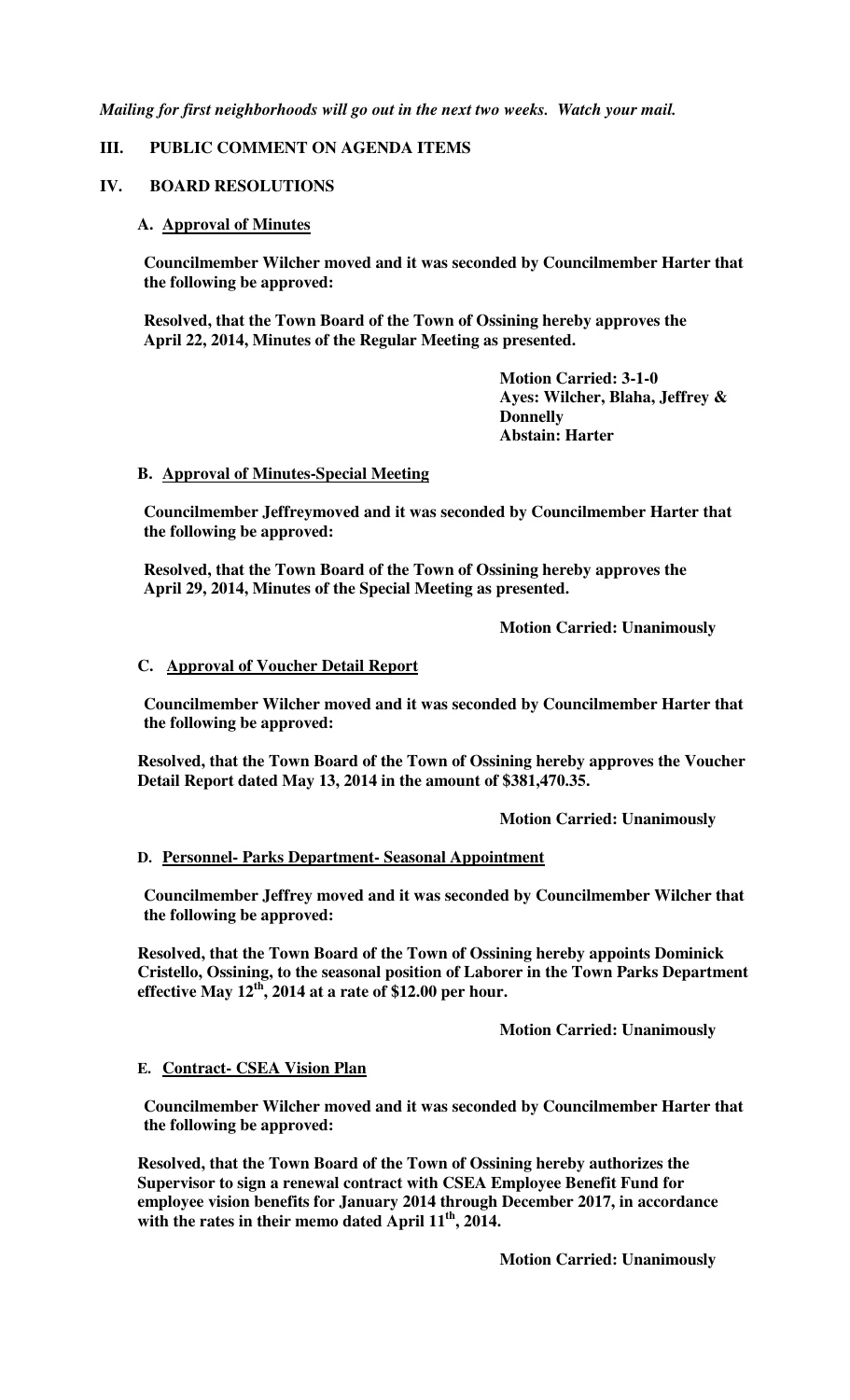*Mailing for first neighborhoods will go out in the next two weeks. Watch your mail.* 

## **III. PUBLIC COMMENT ON AGENDA ITEMS**

### **IV. BOARD RESOLUTIONS**

### **A. Approval of Minutes**

**Councilmember Wilcher moved and it was seconded by Councilmember Harter that the following be approved:** 

**Resolved, that the Town Board of the Town of Ossining hereby approves the April 22, 2014, Minutes of the Regular Meeting as presented.** 

> **Motion Carried: 3-1-0 Ayes: Wilcher, Blaha, Jeffrey & Donnelly Abstain: Harter**

#### **B. Approval of Minutes-Special Meeting**

**Councilmember Jeffreymoved and it was seconded by Councilmember Harter that the following be approved:** 

**Resolved, that the Town Board of the Town of Ossining hereby approves the April 29, 2014, Minutes of the Special Meeting as presented.** 

 **Motion Carried: Unanimously** 

### **C. Approval of Voucher Detail Report**

**Councilmember Wilcher moved and it was seconded by Councilmember Harter that the following be approved:** 

**Resolved, that the Town Board of the Town of Ossining hereby approves the Voucher Detail Report dated May 13, 2014 in the amount of \$381,470.35.** 

 **Motion Carried: Unanimously** 

## **D. Personnel- Parks Department- Seasonal Appointment**

**Councilmember Jeffrey moved and it was seconded by Councilmember Wilcher that the following be approved:** 

**Resolved, that the Town Board of the Town of Ossining hereby appoints Dominick Cristello, Ossining, to the seasonal position of Laborer in the Town Parks Department effective May 12th, 2014 at a rate of \$12.00 per hour.** 

 **Motion Carried: Unanimously** 

#### **E. Contract- CSEA Vision Plan**

**Councilmember Wilcher moved and it was seconded by Councilmember Harter that the following be approved:** 

**Resolved, that the Town Board of the Town of Ossining hereby authorizes the Supervisor to sign a renewal contract with CSEA Employee Benefit Fund for employee vision benefits for January 2014 through December 2017, in accordance with the rates in their memo dated April 11th, 2014.** 

 **Motion Carried: Unanimously**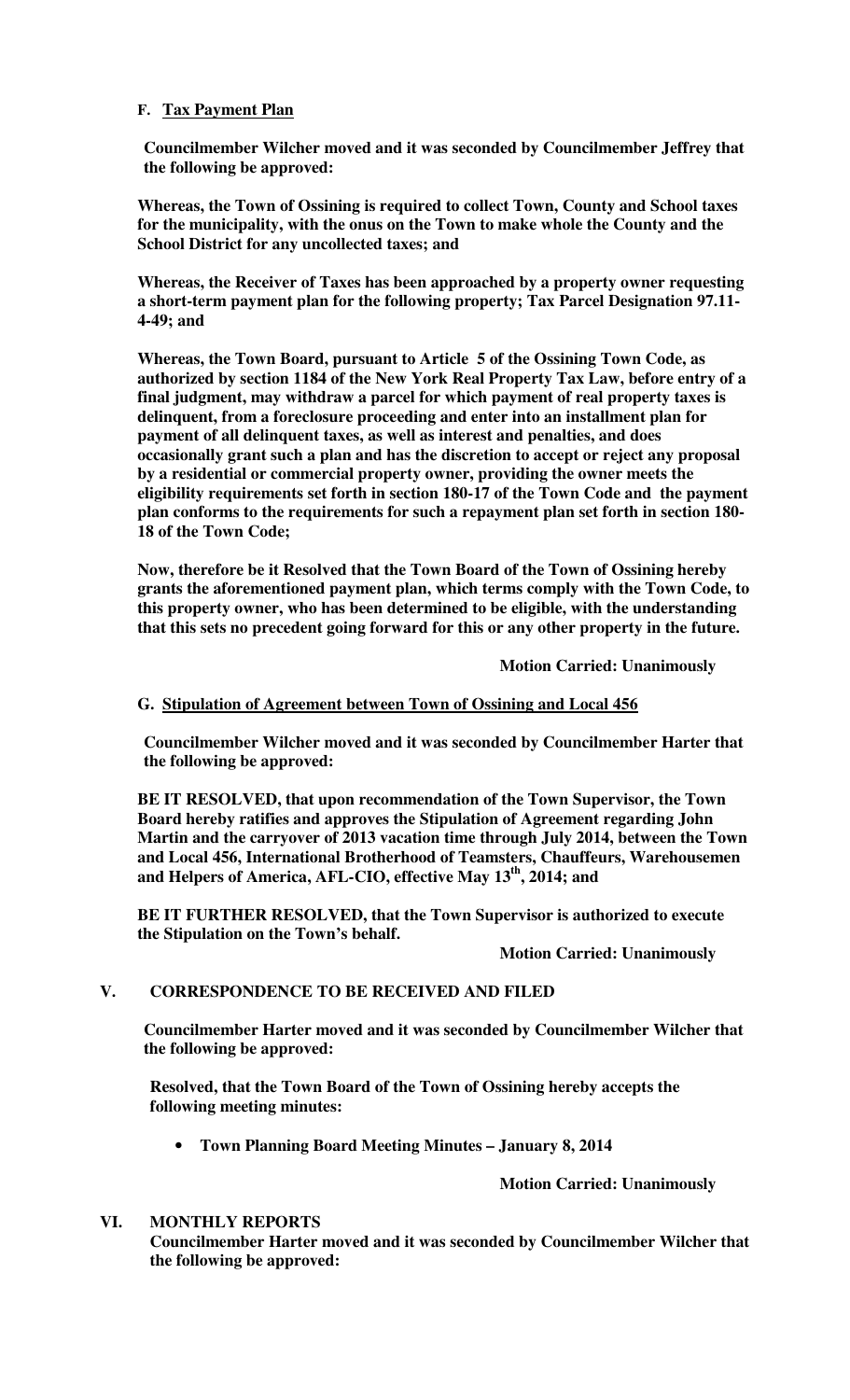## **F. Tax Payment Plan**

**Councilmember Wilcher moved and it was seconded by Councilmember Jeffrey that the following be approved:** 

**Whereas, the Town of Ossining is required to collect Town, County and School taxes for the municipality, with the onus on the Town to make whole the County and the School District for any uncollected taxes; and** 

**Whereas, the Receiver of Taxes has been approached by a property owner requesting a short-term payment plan for the following property; Tax Parcel Designation 97.11- 4-49; and** 

**Whereas, the Town Board, pursuant to Article 5 of the Ossining Town Code, as authorized by section 1184 of the New York Real Property Tax Law, before entry of a final judgment, may withdraw a parcel for which payment of real property taxes is delinquent, from a foreclosure proceeding and enter into an installment plan for payment of all delinquent taxes, as well as interest and penalties, and does occasionally grant such a plan and has the discretion to accept or reject any proposal by a residential or commercial property owner, providing the owner meets the eligibility requirements set forth in section 180-17 of the Town Code and the payment plan conforms to the requirements for such a repayment plan set forth in section 180- 18 of the Town Code;** 

**Now, therefore be it Resolved that the Town Board of the Town of Ossining hereby grants the aforementioned payment plan, which terms comply with the Town Code, to this property owner, who has been determined to be eligible, with the understanding that this sets no precedent going forward for this or any other property in the future.** 

 **Motion Carried: Unanimously** 

## **G. Stipulation of Agreement between Town of Ossining and Local 456**

**Councilmember Wilcher moved and it was seconded by Councilmember Harter that the following be approved:** 

**BE IT RESOLVED, that upon recommendation of the Town Supervisor, the Town Board hereby ratifies and approves the Stipulation of Agreement regarding John Martin and the carryover of 2013 vacation time through July 2014, between the Town and Local 456, International Brotherhood of Teamsters, Chauffeurs, Warehousemen and Helpers of America, AFL-CIO, effective May 13th, 2014; and** 

**BE IT FURTHER RESOLVED, that the Town Supervisor is authorized to execute the Stipulation on the Town's behalf.** 

#### **Motion Carried: Unanimously**

## **V. CORRESPONDENCE TO BE RECEIVED AND FILED**

**Councilmember Harter moved and it was seconded by Councilmember Wilcher that the following be approved:** 

**Resolved, that the Town Board of the Town of Ossining hereby accepts the following meeting minutes:** 

• **Town Planning Board Meeting Minutes – January 8, 2014** 

**Motion Carried: Unanimously** 

#### **VI. MONTHLY REPORTS**

**Councilmember Harter moved and it was seconded by Councilmember Wilcher that the following be approved:**